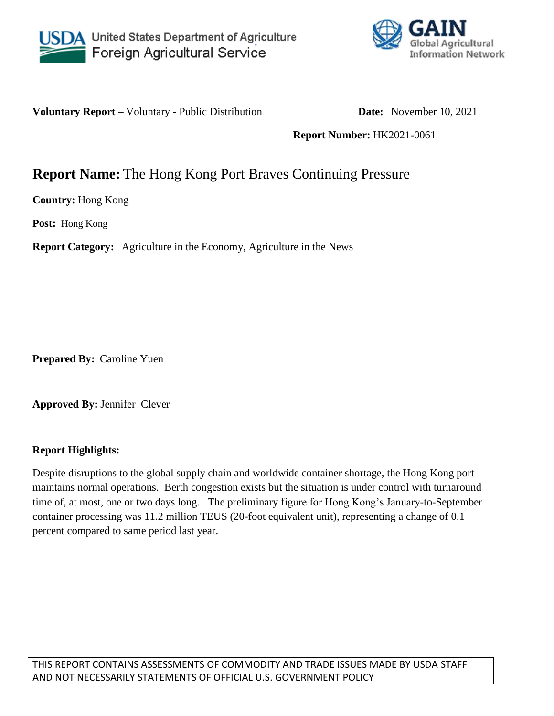



**Voluntary Report** – Voluntary - Public Distribution **Date:** November 10, 2021

**Report Number:** HK2021-0061

## **Report Name:** The Hong Kong Port Braves Continuing Pressure

**Country:** Hong Kong

**Post:** Hong Kong

**Report Category:** Agriculture in the Economy, Agriculture in the News

**Prepared By:** Caroline Yuen

**Approved By:** Jennifer Clever

## **Report Highlights:**

Despite disruptions to the global supply chain and worldwide container shortage, the Hong Kong port maintains normal operations. Berth congestion exists but the situation is under control with turnaround time of, at most, one or two days long. The preliminary figure for Hong Kong's January-to-September container processing was 11.2 million TEUS (20-foot equivalent unit), representing a change of 0.1 percent compared to same period last year.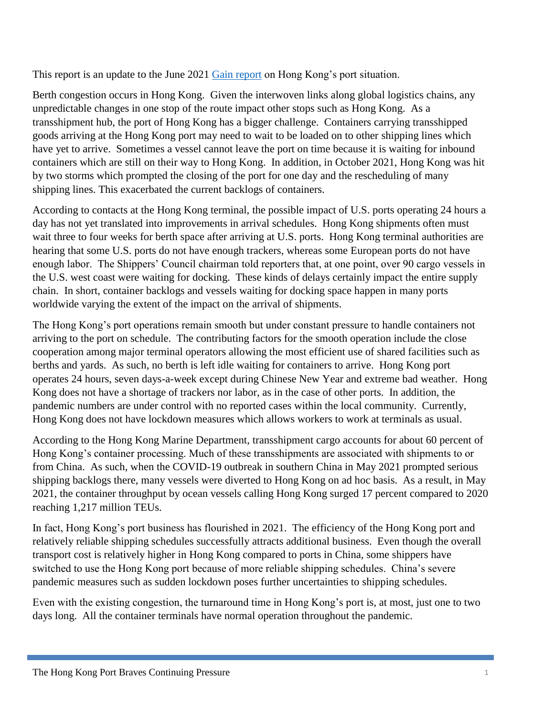This report is an update to the June 2021 [Gain report](https://www.fas.usda.gov/data/hong-kong-hong-kong-ports-respond-shipping-challenges) on Hong Kong's port situation.

Berth congestion occurs in Hong Kong. Given the interwoven links along global logistics chains, any unpredictable changes in one stop of the route impact other stops such as Hong Kong. As a transshipment hub, the port of Hong Kong has a bigger challenge. Containers carrying transshipped goods arriving at the Hong Kong port may need to wait to be loaded on to other shipping lines which have yet to arrive. Sometimes a vessel cannot leave the port on time because it is waiting for inbound containers which are still on their way to Hong Kong. In addition, in October 2021, Hong Kong was hit by two storms which prompted the closing of the port for one day and the rescheduling of many shipping lines. This exacerbated the current backlogs of containers.

According to contacts at the Hong Kong terminal, the possible impact of U.S. ports operating 24 hours a day has not yet translated into improvements in arrival schedules. Hong Kong shipments often must wait three to four weeks for berth space after arriving at U.S. ports. Hong Kong terminal authorities are hearing that some U.S. ports do not have enough trackers, whereas some European ports do not have enough labor. The Shippers' Council chairman told reporters that, at one point, over 90 cargo vessels in the U.S. west coast were waiting for docking. These kinds of delays certainly impact the entire supply chain. In short, container backlogs and vessels waiting for docking space happen in many ports worldwide varying the extent of the impact on the arrival of shipments.

The Hong Kong's port operations remain smooth but under constant pressure to handle containers not arriving to the port on schedule. The contributing factors for the smooth operation include the close cooperation among major terminal operators allowing the most efficient use of shared facilities such as berths and yards. As such, no berth is left idle waiting for containers to arrive. Hong Kong port operates 24 hours, seven days-a-week except during Chinese New Year and extreme bad weather. Hong Kong does not have a shortage of trackers nor labor, as in the case of other ports. In addition, the pandemic numbers are under control with no reported cases within the local community. Currently, Hong Kong does not have lockdown measures which allows workers to work at terminals as usual.

According to the Hong Kong Marine Department, transshipment cargo accounts for about 60 percent of Hong Kong's container processing. Much of these transshipments are associated with shipments to or from China. As such, when the COVID-19 outbreak in southern China in May 2021 prompted serious shipping backlogs there, many vessels were diverted to Hong Kong on ad hoc basis. As a result, in May 2021, the container throughput by ocean vessels calling Hong Kong surged 17 percent compared to 2020 reaching 1,217 million TEUs.

In fact, Hong Kong's port business has flourished in 2021. The efficiency of the Hong Kong port and relatively reliable shipping schedules successfully attracts additional business. Even though the overall transport cost is relatively higher in Hong Kong compared to ports in China, some shippers have switched to use the Hong Kong port because of more reliable shipping schedules. China's severe pandemic measures such as sudden lockdown poses further uncertainties to shipping schedules.

Even with the existing congestion, the turnaround time in Hong Kong's port is, at most, just one to two days long. All the container terminals have normal operation throughout the pandemic.